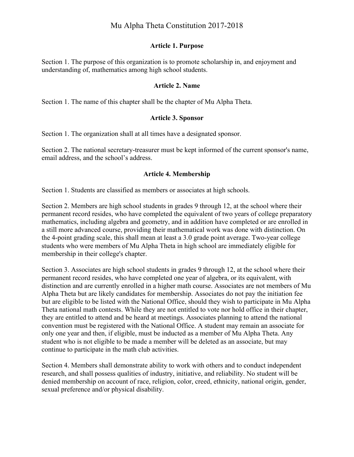# Mu Alpha Theta Constitution 2017-2018

#### **Article 1. Purpose**

Section 1. The purpose of this organization is to promote scholarship in, and enjoyment and understanding of, mathematics among high school students.

#### **Article 2. Name**

Section 1. The name of this chapter shall be the chapter of Mu Alpha Theta.

#### **Article 3. Sponsor**

Section 1. The organization shall at all times have a designated sponsor.

Section 2. The national secretary-treasurer must be kept informed of the current sponsor's name, email address, and the school's address.

#### **Article 4. Membership**

Section 1. Students are classified as members or associates at high schools.

Section 2. Members are high school students in grades 9 through 12, at the school where their permanent record resides, who have completed the equivalent of two years of college preparatory mathematics, including algebra and geometry, and in addition have completed or are enrolled in a still more advanced course, providing their mathematical work was done with distinction. On the 4-point grading scale, this shall mean at least a 3.0 grade point average. Two-year college students who were members of Mu Alpha Theta in high school are immediately eligible for membership in their college's chapter.

Section 3. Associates are high school students in grades 9 through 12, at the school where their permanent record resides, who have completed one year of algebra, or its equivalent, with distinction and are currently enrolled in a higher math course. Associates are not members of Mu Alpha Theta but are likely candidates for membership. Associates do not pay the initiation fee but are eligible to be listed with the National Office, should they wish to participate in Mu Alpha Theta national math contests. While they are not entitled to vote nor hold office in their chapter, they are entitled to attend and be heard at meetings. Associates planning to attend the national convention must be registered with the National Office. A student may remain an associate for only one year and then, if eligible, must be inducted as a member of Mu Alpha Theta. Any student who is not eligible to be made a member will be deleted as an associate, but may continue to participate in the math club activities.

Section 4. Members shall demonstrate ability to work with others and to conduct independent research, and shall possess qualities of industry, initiative, and reliability. No student will be denied membership on account of race, religion, color, creed, ethnicity, national origin, gender, sexual preference and/or physical disability.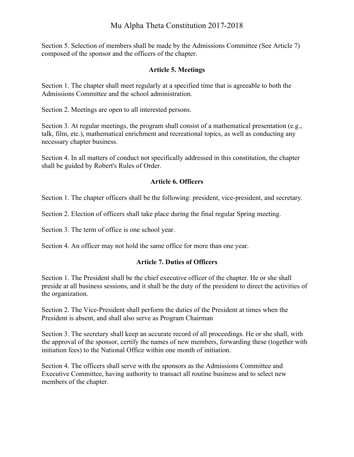# Mu Alpha Theta Constitution 2017-2018

Section 5. Selection of members shall be made by the Admissions Committee (See Article 7) composed of the sponsor and the officers of the chapter.

## **Article 5. Meetings**

Section 1. The chapter shall meet regularly at a specified time that is agreeable to both the Admissions Committee and the school administration.

Section 2. Meetings are open to all interested persons.

Section 3. At regular meetings, the program shall consist of a mathematical presentation (e.g., talk, film, etc.), mathematical enrichment and recreational topics, as well as conducting any necessary chapter business.

Section 4. In all matters of conduct not specifically addressed in this constitution, the chapter shall be guided by Robert's Rules of Order.

## **Article 6. Officers**

Section 1. The chapter officers shall be the following: president, vice-president, and secretary.

Section 2. Election of officers shall take place during the final regular Spring meeting.

Section 3. The term of office is one school year.

Section 4. An officer may not hold the same office for more than one year.

#### **Article 7. Duties of Officers**

Section 1. The President shall be the chief executive officer of the chapter. He or she shall preside at all business sessions, and it shall be the duty of the president to direct the activities of the organization.

Section 2. The Vice-President shall perform the duties of the President at times when the President is absent, and shall also serve as Program Chairman

Section 3. The secretary shall keep an accurate record of all proceedings. He or she shall, with the approval of the sponsor, certify the names of new members, forwarding these (together with initiation fees) to the National Office within one month of initiation.

Section 4. The officers shall serve with the sponsors as the Admissions Committee and Executive Committee, having authority to transact all routine business and to select new members of the chapter.